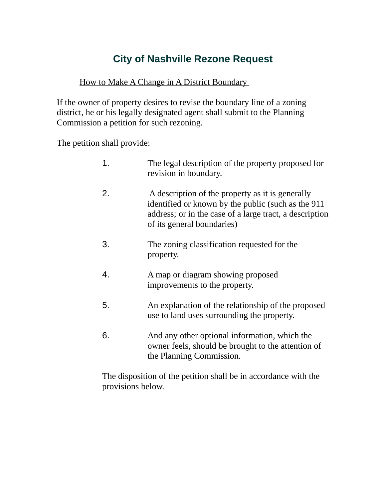# **City of Nashville Rezone Request**

#### How to Make A Change in A District Boundary

If the owner of property desires to revise the boundary line of a zoning district, he or his legally designated agent shall submit to the Planning Commission a petition for such rezoning.

The petition shall provide:

| 1. | The legal description of the property proposed for<br>revision in boundary.                                                                                                                     |
|----|-------------------------------------------------------------------------------------------------------------------------------------------------------------------------------------------------|
| 2. | A description of the property as it is generally<br>identified or known by the public (such as the 911<br>address; or in the case of a large tract, a description<br>of its general boundaries) |
| 3. | The zoning classification requested for the<br>property.                                                                                                                                        |
| 4. | A map or diagram showing proposed<br>improvements to the property.                                                                                                                              |
| 5. | An explanation of the relationship of the proposed<br>use to land uses surrounding the property.                                                                                                |
| 6. | And any other optional information, which the                                                                                                                                                   |

owner feels, should be brought to the attention of the Planning Commission.

The disposition of the petition shall be in accordance with the provisions below.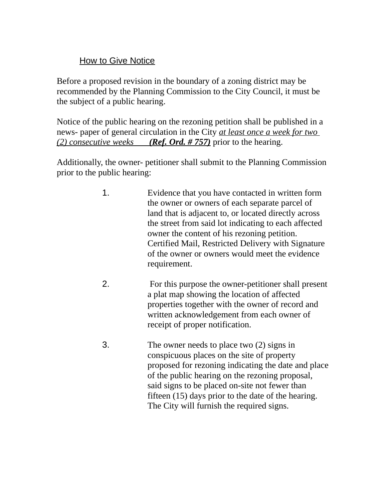## How to Give Notice

Before a proposed revision in the boundary of a zoning district may be recommended by the Planning Commission to the City Council, it must be the subject of a public hearing.

Notice of the public hearing on the rezoning petition shall be published in a news- paper of general circulation in the City *at least once a week for two (2) consecutive weeks (Ref. Ord. # 757)* prior to the hearing.

Additionally, the owner- petitioner shall submit to the Planning Commission prior to the public hearing:

- 1. Evidence that you have contacted in written form the owner or owners of each separate parcel of land that is adjacent to, or located directly across the street from said lot indicating to each affected owner the content of his rezoning petition. Certified Mail, Restricted Delivery with Signature of the owner or owners would meet the evidence requirement.
- 2. For this purpose the owner-petitioner shall present a plat map showing the location of affected properties together with the owner of record and written acknowledgement from each owner of receipt of proper notification.
- 3. The owner needs to place two (2) signs in conspicuous places on the site of property proposed for rezoning indicating the date and place of the public hearing on the rezoning proposal, said signs to be placed on-site not fewer than fifteen (15) days prior to the date of the hearing. The City will furnish the required signs.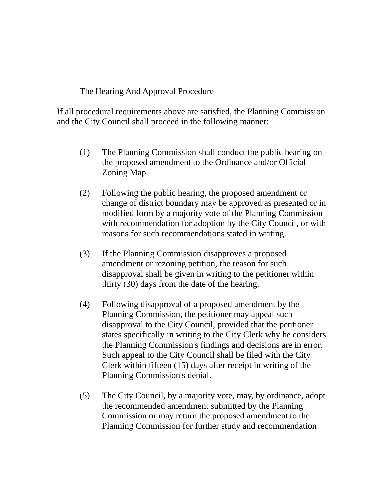## The Hearing And Approval Procedure

If all procedural requirements above are satisfied, the Planning Commission and the City Council shall proceed in the following manner:

- (1) The Planning Commission shall conduct the public hearing on the proposed amendment to the Ordinance and/or Official Zoning Map.
- (2) Following the public hearing, the proposed amendment or change of district boundary may be approved as presented or in modified form by a majority vote of the Planning Commission with recommendation for adoption by the City Council, or with reasons for such recommendations stated in writing.
- (3) If the Planning Commission disapproves a proposed amendment or rezoning petition, the reason for such disapproval shall be given in writing to the petitioner within thirty (30) days from the date of the hearing.
- (4) Following disapproval of a proposed amendment by the Planning Commission, the petitioner may appeal such disapproval to the City Council, provided that the petitioner states specifically in writing to the City Clerk why he considers the Planning Commission's findings and decisions are in error. Such appeal to the City Council shall be filed with the City Clerk within fifteen (15) days after receipt in writing of the Planning Commission's denial.
- (5) The City Council, by a majority vote, may, by ordinance, adopt the recommended amendment submitted by the Planning Commission or may return the proposed amendment to the Planning Commission for further study and recommendation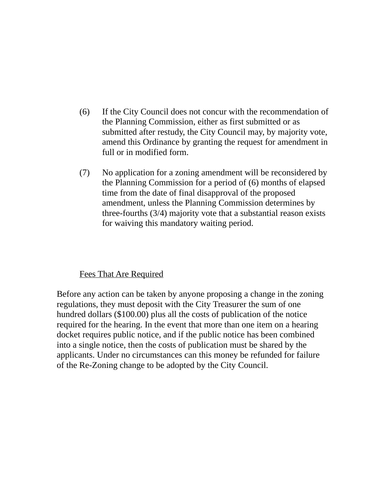- (6) If the City Council does not concur with the recommendation of the Planning Commission, either as first submitted or as submitted after restudy, the City Council may, by majority vote, amend this Ordinance by granting the request for amendment in full or in modified form.
- (7) No application for a zoning amendment will be reconsidered by the Planning Commission for a period of (6) months of elapsed time from the date of final disapproval of the proposed amendment, unless the Planning Commission determines by three-fourths (3/4) majority vote that a substantial reason exists for waiving this mandatory waiting period.

#### Fees That Are Required

Before any action can be taken by anyone proposing a change in the zoning regulations, they must deposit with the City Treasurer the sum of one hundred dollars (\$100.00) plus all the costs of publication of the notice required for the hearing. In the event that more than one item on a hearing docket requires public notice, and if the public notice has been combined into a single notice, then the costs of publication must be shared by the applicants. Under no circumstances can this money be refunded for failure of the Re-Zoning change to be adopted by the City Council.